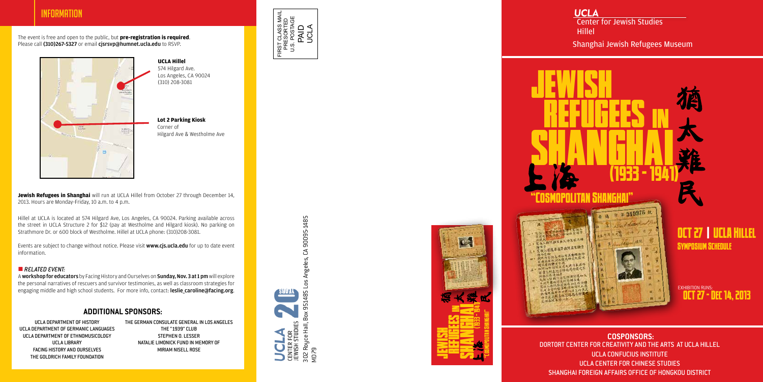Center for Jewish Studies **Hillel** 

Shanghai Jewish Refugees Museum



EXHIBITION RUNS: OCT 27 - Dec 14, 2013





OCT 27 | UCLA Hillel Symposium Schedule

**Jewish Refugees in Shanghai** will run at UCLA Hillel from October 27 through December 14, 2013. Hours are Monday-Friday, 10 a.m. to 4 p.m.

FIRST CLASS MAIL PRESORTED U.S. POSTAGE

PAID UCLA

Events are subject to change without notice. Please visit www.cjs.ucla.edu for up to date event information.

#### **RELATED EVENT:**

A workshop for educators by Facing History and Ourselves on Sunday, Nov. 3 at 1 pm will explore the personal narratives of rescuers and survivor testimonies, as well as classroom strategies for engaging middle and high school students. For more info, contact: **leslie\_caroline@facing.org**.

## **INFORMATION**

The event is free and open to the public, but **pre-registration is required**. Please call (310)267-5327 or email cjsrsvp@humnet.ucla.edu to RSVP.



Hillel at UCLA is located at 574 Hilgard Ave, Los Angeles, CA 90024. Parking available across the street in UCLA Structure 2 for \$12 (pay at Westholme and Hilgard kiosk). No parking on Strathmore Dr. or 600 block of Westholme. Hillel at UCLA phone: (310)208-3081.

**UCLA Hillel** 574 Hilgard Ave. Los Angeles, CA 90024 (310) 208-3081

**Lot 2 Parking Kiosk** Corner of Hilgard Ave & Westholme Ave



**COSPONSORS:** DORTORT CENTER FOR CREATIVITY AND THE ARTS AT UCLA HILLEL UCLA CONFUCIUS INSTITUTE UCLA CENTER FOR CHINESE STUDIES SHANGHAI FOREIGN AFFAIRS OFFICE OF HONGKOU DISTRICT

# **UCLA**

### **ADDITIONAL SPONSORS:**

UCLA DEPARTMENT OF HISTORY UCLA DEPARTMENT OF GERMANIC LANGUAGES UCLA DEPARTMENT OF ETHNOMUSICOLOGY UCLA LIBRARY FACING HISTORY AND OURSELVES THE GOLDRICH FAMILY FOUNDATION

THE GERMAN CONSULATE GENERAL IN LOS ANGELES THE "1939" CLUB STEPHEN O. LESSER NATALIE LIMONICK FUND IN MEMORY OF MIRIAM NISELL ROSE

Angeles, CA 90095-1485 302 Royce Hall, Box 951485 Los Angeles, CA 90095-1485  $-05$ 88V IA  $\mathsf{L}\mathsf{C}$ Ξó  $514$ ō. Ŏ CENTER FOR<br>JEWISH STUDIES<br>302 Royce Hall, B<br>MD79